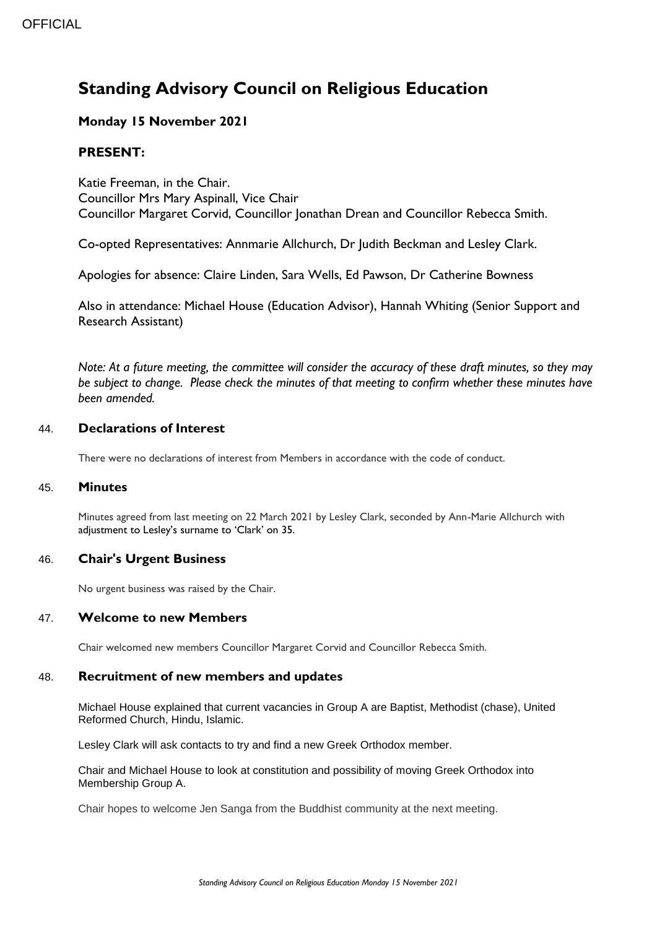# **Standing Advisory Council on Religious Education**

# **Monday 15 November 2021**

# **PRESENT:**

Katie Freeman, in the Chair. Councillor Mrs Mary Aspinall, Vice Chair Councillor Margaret Corvid, Councillor Jonathan Drean and Councillor Rebecca Smith.

Co-opted Representatives: Annmarie Allchurch, Dr Judith Beckman and Lesley Clark.

Apologies for absence: Claire Linden, Sara Wells, Ed Pawson, Dr Catherine Bowness

Also in attendance: Michael House (Education Advisor), Hannah Whiting (Senior Support and Research Assistant)

*Note: At a future meeting, the committee will consider the accuracy of these draft minutes, so they may be subject to change. Please check the minutes of that meeting to confirm whether these minutes have been amended.*

# 44. **Declarations of Interest**

There were no declarations of interest from Members in accordance with the code of conduct.

#### 45. **Minutes**

Minutes agreed from last meeting on 22 March 2021 by Lesley Clark, seconded by Ann-Marie Allchurch with adjustment to Lesley's surname to 'Clark' on 35.

## 46. **Chair's Urgent Business**

No urgent business was raised by the Chair.

## 47. **Welcome to new Members**

Chair welcomed new members Councillor Margaret Corvid and Councillor Rebecca Smith.

#### 48. **Recruitment of new members and updates**

Michael House explained that current vacancies in Group A are Baptist, Methodist (chase), United Reformed Church, Hindu, Islamic.

Lesley Clark will ask contacts to try and find a new Greek Orthodox member.

Chair and Michael House to look at constitution and possibility of moving Greek Orthodox into Membership Group A.

Chair hopes to welcome Jen Sanga from the Buddhist community at the next meeting.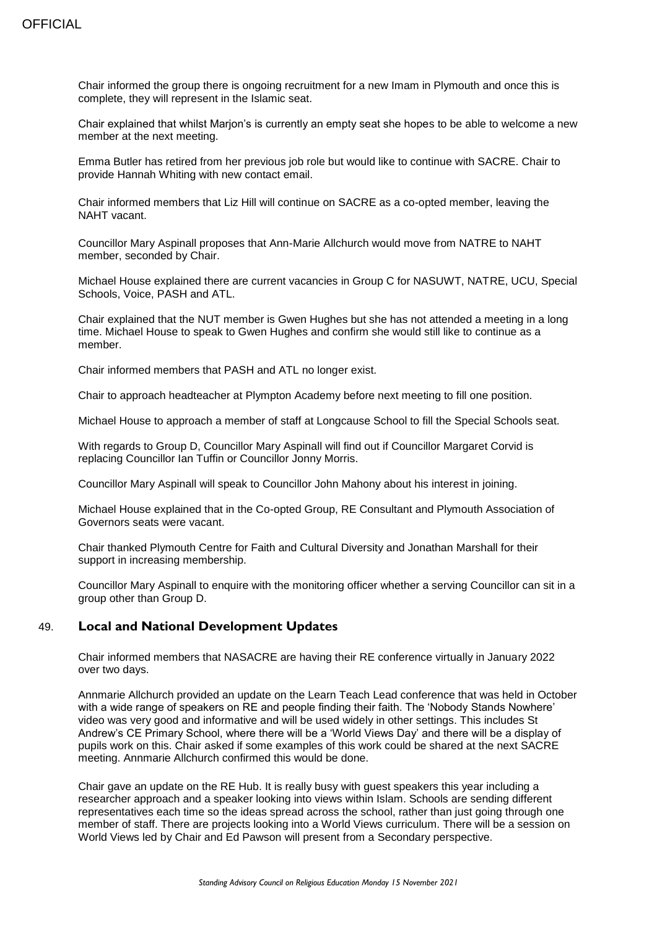Chair informed the group there is ongoing recruitment for a new Imam in Plymouth and once this is complete, they will represent in the Islamic seat.

Chair explained that whilst Marjon's is currently an empty seat she hopes to be able to welcome a new member at the next meeting.

Emma Butler has retired from her previous job role but would like to continue with SACRE. Chair to provide Hannah Whiting with new contact email.

Chair informed members that Liz Hill will continue on SACRE as a co-opted member, leaving the NAHT vacant.

Councillor Mary Aspinall proposes that Ann-Marie Allchurch would move from NATRE to NAHT member, seconded by Chair.

Michael House explained there are current vacancies in Group C for NASUWT, NATRE, UCU, Special Schools, Voice, PASH and ATL.

Chair explained that the NUT member is Gwen Hughes but she has not attended a meeting in a long time. Michael House to speak to Gwen Hughes and confirm she would still like to continue as a member.

Chair informed members that PASH and ATL no longer exist.

Chair to approach headteacher at Plympton Academy before next meeting to fill one position.

Michael House to approach a member of staff at Longcause School to fill the Special Schools seat.

With regards to Group D, Councillor Mary Aspinall will find out if Councillor Margaret Corvid is replacing Councillor Ian Tuffin or Councillor Jonny Morris.

Councillor Mary Aspinall will speak to Councillor John Mahony about his interest in joining.

Michael House explained that in the Co-opted Group, RE Consultant and Plymouth Association of Governors seats were vacant.

Chair thanked Plymouth Centre for Faith and Cultural Diversity and Jonathan Marshall for their support in increasing membership.

Councillor Mary Aspinall to enquire with the monitoring officer whether a serving Councillor can sit in a group other than Group D.

#### 49. **Local and National Development Updates**

Chair informed members that NASACRE are having their RE conference virtually in January 2022 over two days.

Annmarie Allchurch provided an update on the Learn Teach Lead conference that was held in October with a wide range of speakers on RE and people finding their faith. The 'Nobody Stands Nowhere' video was very good and informative and will be used widely in other settings. This includes St Andrew's CE Primary School, where there will be a 'World Views Day' and there will be a display of pupils work on this. Chair asked if some examples of this work could be shared at the next SACRE meeting. Annmarie Allchurch confirmed this would be done.

Chair gave an update on the RE Hub. It is really busy with guest speakers this year including a researcher approach and a speaker looking into views within Islam. Schools are sending different representatives each time so the ideas spread across the school, rather than just going through one member of staff. There are projects looking into a World Views curriculum. There will be a session on World Views led by Chair and Ed Pawson will present from a Secondary perspective.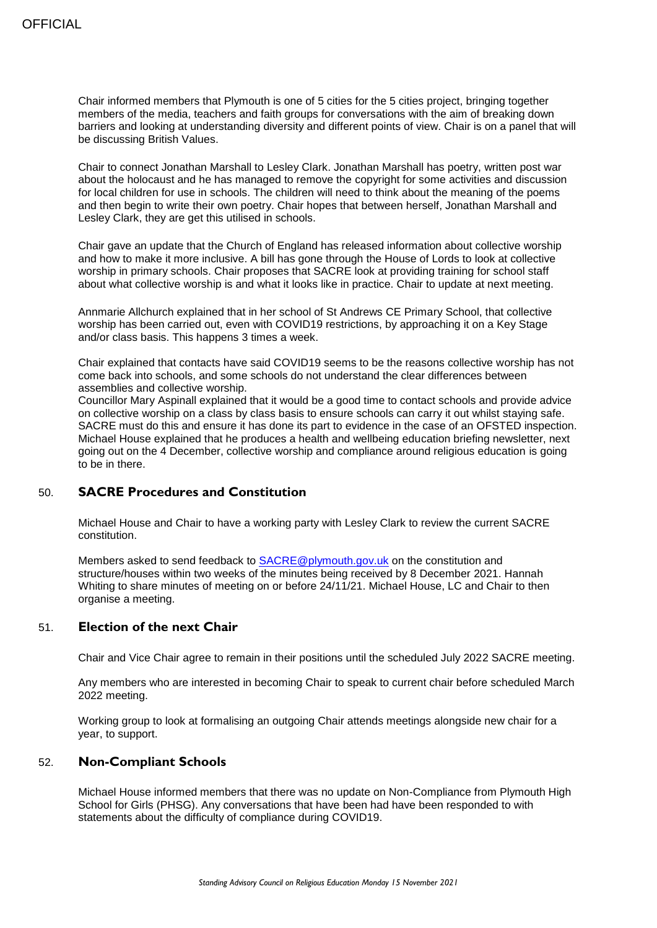Chair informed members that Plymouth is one of 5 cities for the 5 cities project, bringing together members of the media, teachers and faith groups for conversations with the aim of breaking down barriers and looking at understanding diversity and different points of view. Chair is on a panel that will be discussing British Values.

Chair to connect Jonathan Marshall to Lesley Clark. Jonathan Marshall has poetry, written post war about the holocaust and he has managed to remove the copyright for some activities and discussion for local children for use in schools. The children will need to think about the meaning of the poems and then begin to write their own poetry. Chair hopes that between herself, Jonathan Marshall and Lesley Clark, they are get this utilised in schools.

Chair gave an update that the Church of England has released information about collective worship and how to make it more inclusive. A bill has gone through the House of Lords to look at collective worship in primary schools. Chair proposes that SACRE look at providing training for school staff about what collective worship is and what it looks like in practice. Chair to update at next meeting.

Annmarie Allchurch explained that in her school of St Andrews CE Primary School, that collective worship has been carried out, even with COVID19 restrictions, by approaching it on a Key Stage and/or class basis. This happens 3 times a week.

Chair explained that contacts have said COVID19 seems to be the reasons collective worship has not come back into schools, and some schools do not understand the clear differences between assemblies and collective worship.

Councillor Mary Aspinall explained that it would be a good time to contact schools and provide advice on collective worship on a class by class basis to ensure schools can carry it out whilst staying safe. SACRE must do this and ensure it has done its part to evidence in the case of an OFSTED inspection. Michael House explained that he produces a health and wellbeing education briefing newsletter, next going out on the 4 December, collective worship and compliance around religious education is going to be in there.

#### 50. **SACRE Procedures and Constitution**

Michael House and Chair to have a working party with Lesley Clark to review the current SACRE constitution.

Members asked to send feedback to [SACRE@plymouth.gov.uk](mailto:SACRE@plymouth.gov.uk) on the constitution and structure/houses within two weeks of the minutes being received by 8 December 2021. Hannah Whiting to share minutes of meeting on or before 24/11/21. Michael House, LC and Chair to then organise a meeting.

### 51. **Election of the next Chair**

Chair and Vice Chair agree to remain in their positions until the scheduled July 2022 SACRE meeting.

Any members who are interested in becoming Chair to speak to current chair before scheduled March 2022 meeting.

Working group to look at formalising an outgoing Chair attends meetings alongside new chair for a year, to support.

#### 52. **Non-Compliant Schools**

Michael House informed members that there was no update on Non-Compliance from Plymouth High School for Girls (PHSG). Any conversations that have been had have been responded to with statements about the difficulty of compliance during COVID19.